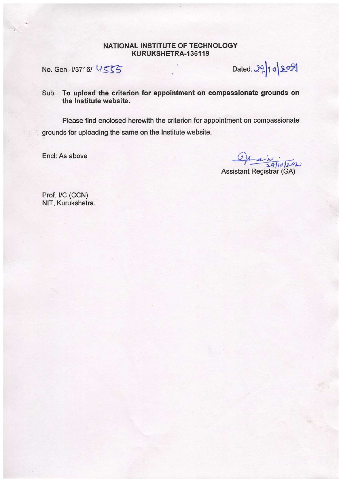### NATIONAL INSTITUTE OF TECHNOLOGY KURUKSHETRA-136119

No. Gen.-1/3716/ US55

 $Dated: 29 | 10 | 202$ 

## Sub: To upload the criterion for appointment on compassionate grounds on the lnstitute website

Please find enclosed herewith the criterion for appointment on compassionate grounds for uploading the same on the Institute website.

Encl: As above

, Assistant Registrar (GA)

Prof. I/C (CCN) NlT, Kurukshetra.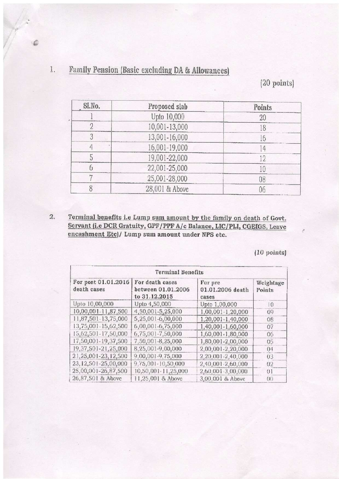### **Family Pension (Basic excluding DA & Allowances)**  $1. \,$

(20 points)

| SI.No. | Proposed slab  | Points   |
|--------|----------------|----------|
|        | Upto 10,000    |          |
|        | 10,001-13,000  |          |
|        | 13,001-16,000  |          |
|        | 16,001-19,000  | $\Delta$ |
|        | 19,001-22,000  | ŋ        |
|        | 22,001-25,000  |          |
|        | 25,001-28,000  | 08       |
|        | 28,001 & Above | 06       |

Terminal benefits i.e Lump sum amount by the family on death of Govt.  $2.$ Servant (i.e DCR Gratuity, GPF/PPF A/c Balance, LIC/PLI, CGEIGS, Leave encashment Etc)/ Lump sum amount under NPS etc.

 $(10 \text{ points})$ 

| <b>Terminal Benefits</b>           |                                                        |                                      |                     |
|------------------------------------|--------------------------------------------------------|--------------------------------------|---------------------|
| For post 01.01.2016<br>death cases | For death cases<br>between 01.01.2006<br>to 31.12.2015 | For pre<br>01.01.2006 death<br>cases | Weightage<br>Points |
| Upto 10,00,000                     | Upto 4,50,000                                          | Upto 1,00,000                        | $\overline{10}$     |
| 10,00,001-11,87,500                | 4,50,001-5,25,000                                      | 1,00,001-1,20,000                    | 00                  |
| 11,87,501-13,75,000                | 5,25,001-6,00,000                                      | 1,20,001-1,40,000                    | 08                  |
| 13,75,001-15,62,500                | 6,00,001-6,75,000                                      | 1,40,001-1,60,000                    | 07                  |
| 15,62,501-17,50,000                | 6,75,001-7,50,000                                      | 1,60,001-1,80,000                    | 06                  |
| 17,50,001-19,37,500                | 7,50,001-8,25,000                                      | 1,80,001-2,00,000                    | 05                  |
| 19,37,501-21,25,000                | 8,25,001-9,00,000                                      | 2,00,001-2,20,000                    | 04                  |
| 21,25,001-23,12,500                | 9,00,001-9,75,000                                      | 2,20,001-2,40,000                    | 03                  |
| 23,12,501-25,00,000                | 9,75,001-10,50,000                                     | 2,40,001-2,60,000                    | 02                  |
| 25,00,001-26,87,500                | 10,50,001-11,25,000                                    | 2,60,001-3,00,000                    | 01                  |
| 26,87,501 & Above                  | 11,25,001 & Above                                      | 3,00,001 & Above                     | $($ $)$             |

 $\epsilon$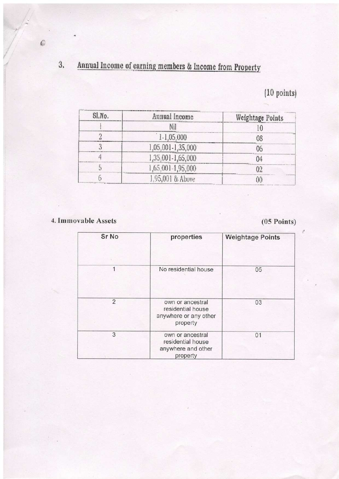### Annual Income of earning members & Income from Property  $3, \,$

# $(10 \text{ points})$

| Sl.No. | Annual Income     | Weightage Points |
|--------|-------------------|------------------|
|        | Nil               |                  |
|        | $1 - 1,05,000$    | 08               |
|        | 1,05,001-1,35,000 | 06               |
|        | 1,35,001-1,65,000 | 04               |
|        | 1,65,001-1,95,000 | 02               |
|        | 1,95,001 & Above  | ( ) ( )          |

4. Immovable Assets

 $(05$  Points)

 $\mathcal{C}$ 

| Sr No         | properties                                                                 | <b>Weightage Points</b> |
|---------------|----------------------------------------------------------------------------|-------------------------|
|               |                                                                            |                         |
|               | No residential house                                                       | 05                      |
| $\mathcal{P}$ | own or ancestral<br>residential house<br>anywhere or any other<br>property | 03                      |
| 3             | own or ancestral<br>residential house<br>anywhere and other<br>property    | 01                      |

 $\begin{array}{c} \n \bullet \n \end{array}$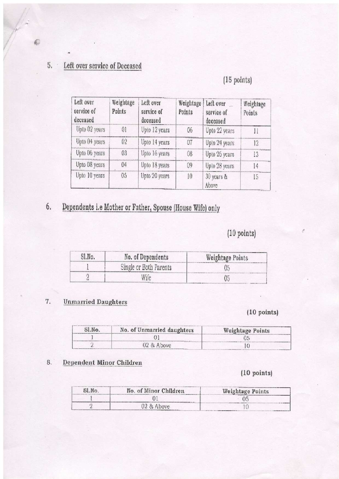### Left over service of Deceased  $5.$   $\,$

# (15 points)

| Left over<br>service of<br>deceased | Weightage<br>Points | Left over<br>service of<br>deceased | Weightage<br>Points | Left over<br>service of<br>deceased | Weightage<br>Points |
|-------------------------------------|---------------------|-------------------------------------|---------------------|-------------------------------------|---------------------|
| Upto 02 years                       | 01                  | Upto 12 years                       | OS.                 | Upto 22 years                       |                     |
| Upto 04 years                       | 02                  | Upto 14 years                       | 07                  | Upto 24 years                       | 12                  |
| Upto 06 years                       | 03                  | Upto 16 years                       | 08                  | Upto 26 years                       | 13                  |
| Upto 08 years                       | 04                  | Upto 18 years                       | $^{(N)}$            | Upto 28 years                       | 14                  |
| Upto 10 years                       | 05                  | Upto 20 years                       | 10                  | 30 years &<br>Above                 | 15                  |

### 6, Dependents i.e Mother or Father, Spouse (House Wife) only

# $(10 \text{ points})$

| Sl.No. | No. of Dependents      | Weightage Points |
|--------|------------------------|------------------|
|        | Single or Both Parents |                  |
|        |                        |                  |

#### **Unmarried Daughters**  $\overline{7}$ .

## $(10 \text{ points})$

| Sl.No. | No. of Unmarried daughters | Weightage Points |  |
|--------|----------------------------|------------------|--|
|        |                            |                  |  |
|        | $02$ & Above               |                  |  |

#### 8, Dependent Minor Children

## $(10 \text{ points})$

| SLNo. | No. of Minor Children | Weightage Points |
|-------|-----------------------|------------------|
|       |                       |                  |
|       | 02 & Above            |                  |

 $\epsilon$